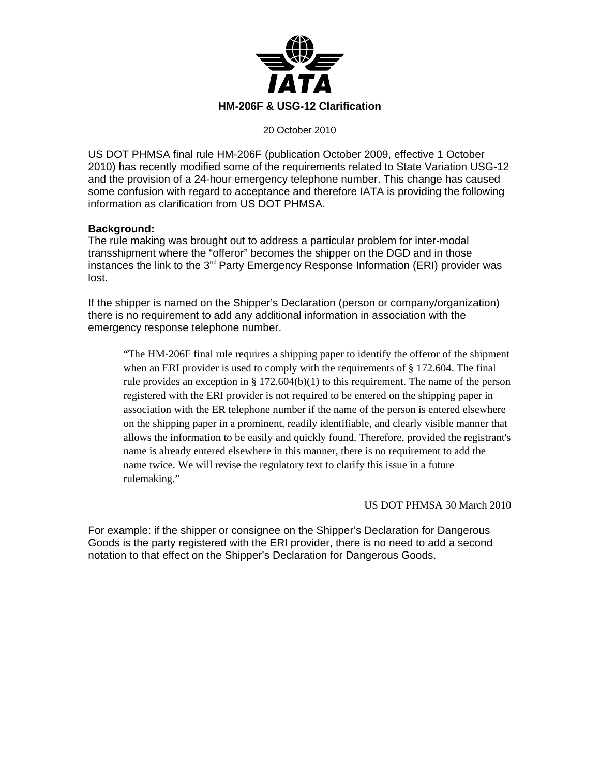

20 October 2010

US DOT PHMSA final rule HM-206F (publication October 2009, effective 1 October 2010) has recently modified some of the requirements related to State Variation USG-12 and the provision of a 24-hour emergency telephone number. This change has caused some confusion with regard to acceptance and therefore IATA is providing the following information as clarification from US DOT PHMSA.

## **Background:**

The rule making was brought out to address a particular problem for inter-modal transshipment where the "offeror" becomes the shipper on the DGD and in those instances the link to the 3<sup>rd</sup> Party Emergency Response Information (ERI) provider was lost.

If the shipper is named on the Shipper's Declaration (person or company/organization) there is no requirement to add any additional information in association with the emergency response telephone number.

"The HM-206F final rule requires a shipping paper to identify the offeror of the shipment when an ERI provider is used to comply with the requirements of § 172.604. The final rule provides an exception in § 172.604(b)(1) to this requirement. The name of the person registered with the ERI provider is not required to be entered on the shipping paper in association with the ER telephone number if the name of the person is entered elsewhere on the shipping paper in a prominent, readily identifiable, and clearly visible manner that allows the information to be easily and quickly found. Therefore, provided the registrant's name is already entered elsewhere in this manner, there is no requirement to add the name twice. We will revise the regulatory text to clarify this issue in a future rulemaking."

## US DOT PHMSA 30 March 2010

For example: if the shipper or consignee on the Shipper's Declaration for Dangerous Goods is the party registered with the ERI provider, there is no need to add a second notation to that effect on the Shipper's Declaration for Dangerous Goods.